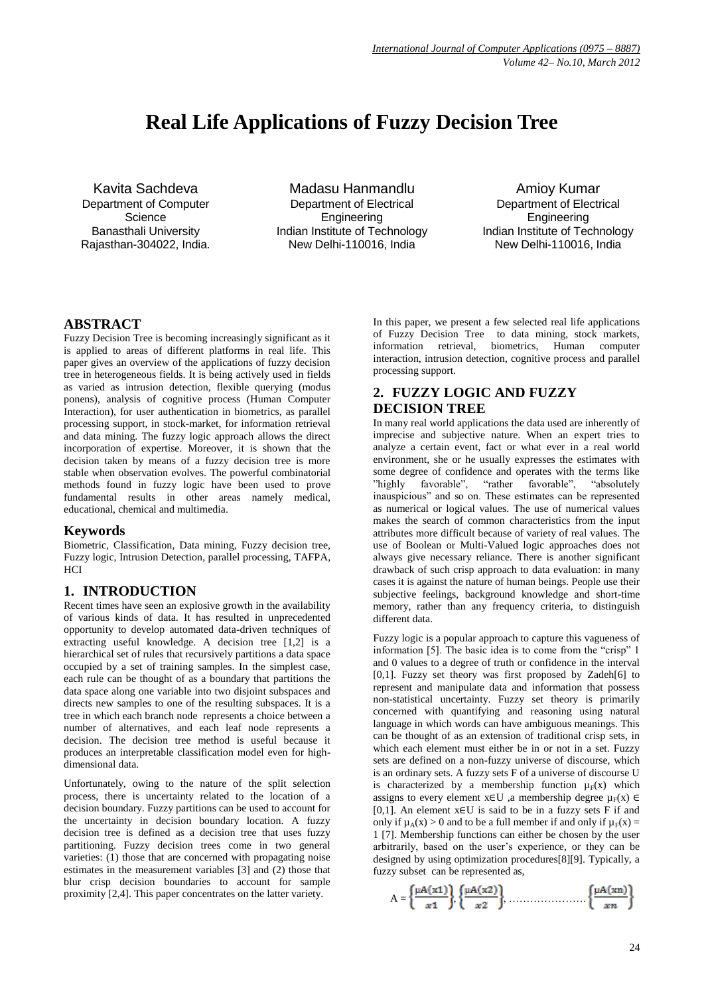# **Real Life Applications of Fuzzy Decision Tree**

Kavita Sachdeva Department of Computer **Science** Banasthali University Rajasthan-304022, India.

Madasu Hanmandlu Department of Electrical Engineering Indian Institute of Technology New Delhi-110016, India

Amioy Kumar Department of Electrical Engineering Indian Institute of Technology New Delhi-110016, India

## **ABSTRACT**

Fuzzy Decision Tree is becoming increasingly significant as it is applied to areas of different platforms in real life. This paper gives an overview of the applications of fuzzy decision tree in heterogeneous fields. It is being actively used in fields as varied as intrusion detection, flexible querying (modus ponens), analysis of cognitive process (Human Computer Interaction), for user authentication in biometrics, as parallel processing support, in stock-market, for information retrieval and data mining. The fuzzy logic approach allows the direct incorporation of expertise. Moreover, it is shown that the decision taken by means of a fuzzy decision tree is more stable when observation evolves. The powerful combinatorial methods found in fuzzy logic have been used to prove fundamental results in other areas namely medical, educational, chemical and multimedia.

#### **Keywords**

Biometric, Classification, Data mining, Fuzzy decision tree, Fuzzy logic, Intrusion Detection, parallel processing, TAFPA,  $HCI$ 

# **1. INTRODUCTION**

Recent times have seen an explosive growth in the availability of various kinds of data. It has resulted in unprecedented opportunity to develop automated data-driven techniques of extracting useful knowledge. A decision tree [1,2] is a hierarchical set of rules that recursively partitions a data space occupied by a set of training samples. In the simplest case, each rule can be thought of as a boundary that partitions the data space along one variable into two disjoint subspaces and directs new samples to one of the resulting subspaces. It is a tree in which each branch node represents a choice between a number of alternatives, and each leaf node represents a decision. The decision tree method is useful because it produces an interpretable classification model even for highdimensional data.

Unfortunately, owing to the nature of the split selection process, there is uncertainty related to the location of a decision boundary. Fuzzy partitions can be used to account for the uncertainty in decision boundary location. A fuzzy decision tree is defined as a decision tree that uses fuzzy partitioning. Fuzzy decision trees come in two general varieties: (1) those that are concerned with propagating noise estimates in the measurement variables [3] and (2) those that blur crisp decision boundaries to account for sample proximity [2,4]. This paper concentrates on the latter variety.

In this paper, we present a few selected real life applications of Fuzzy Decision Tree to data mining, stock markets, information retrieval, biometrics, Human computer interaction, intrusion detection, cognitive process and parallel processing support.

# **2. FUZZY LOGIC AND FUZZY DECISION TREE**

In many real world applications the data used are inherently of imprecise and subjective nature. When an expert tries to analyze a certain event, fact or what ever in a real world environment, she or he usually expresses the estimates with some degree of confidence and operates with the terms like "highly favorable", "rather favorable", "absolutely inauspicious" and so on. These estimates can be represented as numerical or logical values. The use of numerical values makes the search of common characteristics from the input attributes more difficult because of variety of real values. The use of Boolean or Multi-Valued logic approaches does not always give necessary reliance. There is another significant drawback of such crisp approach to data evaluation: in many cases it is against the nature of human beings. People use their subjective feelings, background knowledge and short-time memory, rather than any frequency criteria, to distinguish different data.

Fuzzy logic is a popular approach to capture this vagueness of information  $[5]$ . The basic idea is to come from the "crisp" 1 and 0 values to a degree of truth or confidence in the interval [0,1]. Fuzzy set theory was first proposed by Zadeh[6] to represent and manipulate data and information that possess non-statistical uncertainty. Fuzzy set theory is primarily concerned with quantifying and reasoning using natural language in which words can have ambiguous meanings. This can be thought of as an extension of traditional crisp sets, in which each element must either be in or not in a set. Fuzzy sets are defined on a non-fuzzy universe of discourse, which is an ordinary sets. A fuzzy sets F of a universe of discourse U is characterized by a membership function  $\mu_F(x)$  which assigns to every element  $x \in U$ , a membership degree  $\mu_F(x) \in$ [0,1]. An element  $x \in U$  is said to be in a fuzzy sets F if and only if  $\mu_A(x) > 0$  and to be a full member if and only if  $\mu_F(x) =$ 1 [7]. Membership functions can either be chosen by the user arbitrarily, based on the user's experience, or they can be designed by using optimization procedures[8][9]. Typically, a fuzzy subset can be represented as,

$$
A = \left\{ \frac{\mu A(x1)}{x1} \right\} \left\{ \frac{\mu A(x2)}{x2} \right\}, \dots, \dots, \dots, \dots, \left\{ \frac{\mu A(xn)}{xn} \right\}
$$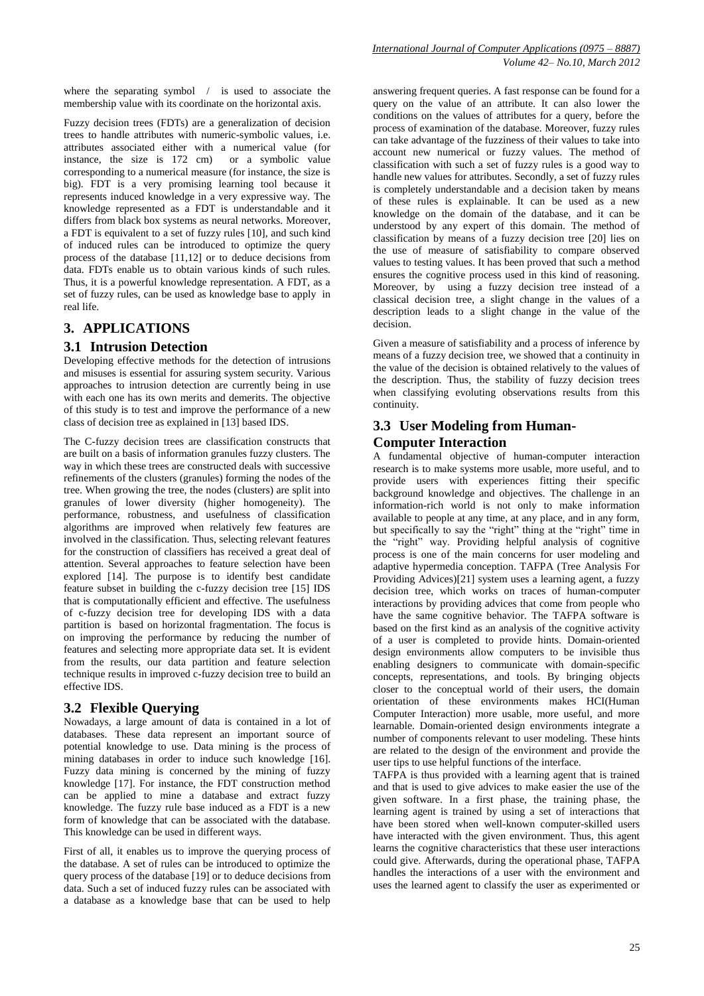where the separating symbol / is used to associate the membership value with its coordinate on the horizontal axis.

Fuzzy decision trees (FDTs) are a generalization of decision trees to handle attributes with numeric-symbolic values, i.e. attributes associated either with a numerical value (for instance, the size is 172 cm) or a symbolic value corresponding to a numerical measure (for instance, the size is big)*.* FDT is a very promising learning tool because it represents induced knowledge in a very expressive way. The knowledge represented as a FDT is understandable and it differs from black box systems as neural networks*.* Moreover, a FDT is equivalent to a set of fuzzy rules [10], and such kind of induced rules can be introduced to optimize the query process of the database [11,12] or to deduce decisions from data. FDTs enable us to obtain various kinds of such rules*.*  Thus, it is a powerful knowledge representation. A FDT, as a set of fuzzy rules, can be used as knowledge base to apply in real life.

# **3. APPLICATIONS**

#### **3.1 Intrusion Detection**

Developing effective methods for the detection of intrusions and misuses is essential for assuring system security. Various approaches to intrusion detection are currently being in use with each one has its own merits and demerits. The objective of this study is to test and improve the performance of a new class of decision tree as explained in [13] based IDS.

The C-fuzzy decision trees are classification constructs that are built on a basis of information granules fuzzy clusters. The way in which these trees are constructed deals with successive refinements of the clusters (granules) forming the nodes of the tree. When growing the tree, the nodes (clusters) are split into granules of lower diversity (higher homogeneity). The performance, robustness, and usefulness of classification algorithms are improved when relatively few features are involved in the classification. Thus, selecting relevant features for the construction of classifiers has received a great deal of attention. Several approaches to feature selection have been explored [14]. The purpose is to identify best candidate feature subset in building the c-fuzzy decision tree [15] IDS that is computationally efficient and effective. The usefulness of c-fuzzy decision tree for developing IDS with a data partition is based on horizontal fragmentation. The focus is on improving the performance by reducing the number of features and selecting more appropriate data set. It is evident from the results, our data partition and feature selection technique results in improved c-fuzzy decision tree to build an effective IDS.

#### **3.2 Flexible Querying**

Nowadays, a large amount of data is contained in a lot of databases. These data represent an important source of potential knowledge to use. Data mining is the process of mining databases in order to induce such knowledge [16]. Fuzzy data mining is concerned by the mining of fuzzy knowledge [17]. For instance, the FDT construction method can be applied to mine a database and extract fuzzy knowledge. The fuzzy rule base induced as a FDT is a new form of knowledge that can be associated with the database. This knowledge can be used in different ways.

First of all, it enables us to improve the querying process of the database. A set of rules can be introduced to optimize the query process of the database [19] or to deduce decisions from data. Such a set of induced fuzzy rules can be associated with a database as a knowledge base that can be used to help

answering frequent queries. A fast response can be found for a query on the value of an attribute. It can also lower the conditions on the values of attributes for a query, before the process of examination of the database. Moreover, fuzzy rules can take advantage of the fuzziness of their values to take into account new numerical or fuzzy values. The method of classification with such a set of fuzzy rules is a good way to handle new values for attributes. Secondly, a set of fuzzy rules is completely understandable and a decision taken by means of these rules is explainable. It can be used as a new knowledge on the domain of the database, and it can be understood by any expert of this domain. The method of classification by means of a fuzzy decision tree [20] lies on the use of measure of satisfiability to compare observed values to testing values. It has been proved that such a method ensures the cognitive process used in this kind of reasoning. Moreover, by using a fuzzy decision tree instead of a classical decision tree, a slight change in the values of a description leads to a slight change in the value of the decision.

Given a measure of satisfiability and a process of inference by means of a fuzzy decision tree, we showed that a continuity in the value of the decision is obtained relatively to the values of the description. Thus, the stability of fuzzy decision trees when classifying evoluting observations results from this continuity.

## **3.3 User Modeling from Human-Computer Interaction**

A fundamental objective of human-computer interaction research is to make systems more usable, more useful, and to provide users with experiences fitting their specific background knowledge and objectives. The challenge in an information-rich world is not only to make information available to people at any time, at any place, and in any form, but specifically to say the "right" thing at the "right" time in the "right" way. Providing helpful analysis of cognitive process is one of the main concerns for user modeling and adaptive hypermedia conception. TAFPA (Tree Analysis For Providing Advices)[21] system uses a learning agent, a fuzzy decision tree, which works on traces of human-computer interactions by providing advices that come from people who have the same cognitive behavior. The TAFPA software is based on the first kind as an analysis of the cognitive activity of a user is completed to provide hints. Domain-oriented design environments allow computers to be invisible thus enabling designers to communicate with domain-specific concepts, representations, and tools. By bringing objects closer to the conceptual world of their users, the domain orientation of these environments makes HCI(Human Computer Interaction) more usable, more useful, and more learnable. Domain-oriented design environments integrate a number of components relevant to user modeling. These hints are related to the design of the environment and provide the user tips to use helpful functions of the interface.

TAFPA is thus provided with a learning agent that is trained and that is used to give advices to make easier the use of the given software. In a first phase, the training phase, the learning agent is trained by using a set of interactions that have been stored when well-known computer-skilled users have interacted with the given environment. Thus, this agent learns the cognitive characteristics that these user interactions could give. Afterwards, during the operational phase, TAFPA handles the interactions of a user with the environment and uses the learned agent to classify the user as experimented or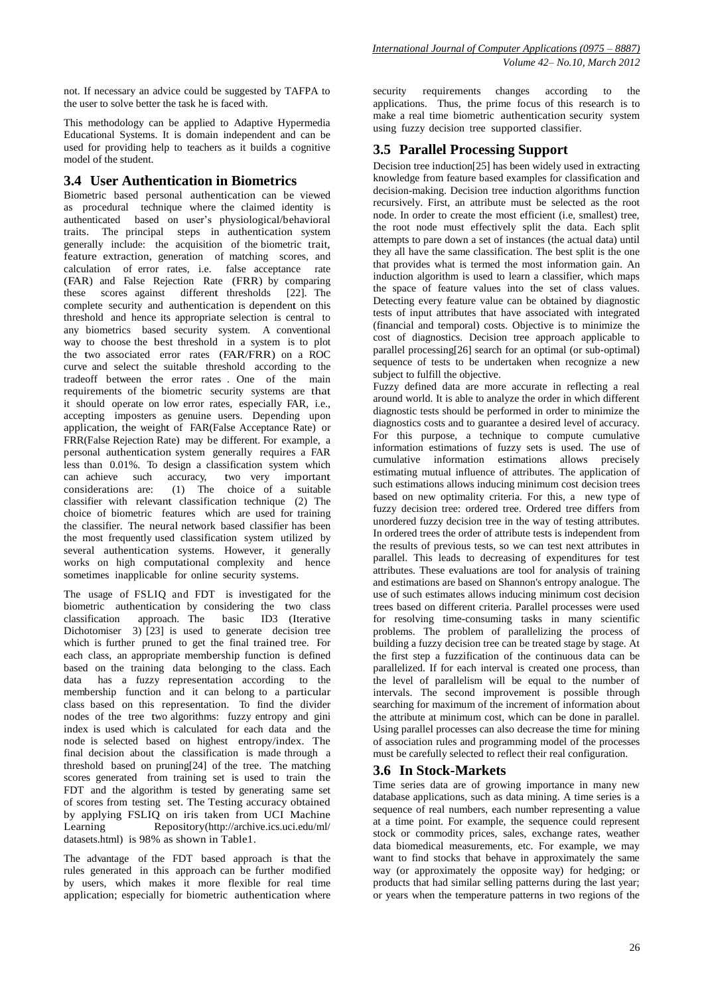not. If necessary an advice could be suggested by TAFPA to the user to solve better the task he is faced with.

This methodology can be applied to Adaptive Hypermedia Educational Systems. It is domain independent and can be used for providing help to teachers as it builds a cognitive model of the student.

# **3.4 User Authentication in Biometrics**

Biometric based personal authentication can be viewed as procedural technique where the claimed identity is authenticated based on user's physiological/behavioral traits. The principal steps in authentication system generally include: the acquisition of the biometric trait, feature extraction, generation of matching scores, and calculation of error rates, i.e. false acceptance rate (FAR) and False Rejection Rate (FRR) by comparing these scores against different thresholds [22]. The complete security and authentication is dependent on this threshold and hence its appropriate selection is central to any biometrics based security system. A conventional way to choose the best threshold in a system is to plot the two associated error rates (FAR/FRR) on a ROC curve and select the suitable threshold according to the tradeoff between the error rates . One of the main requirements of the biometric security systems are that it should operate on low error rates, especially FAR, i.e., accepting imposters as genuine users. Depending upon application, the weight of FAR(False Acceptance Rate) or FRR(False Rejection Rate) may be different. For example, a personal authentication system generally requires a FAR less than 0.01%. To design a classification system which can achieve such accuracy, two very important considerations are: (1) The choice of a suitable  $(1)$  The choice of a suitable classifier with relevant classification technique (2) The choice of biometric features which are used for training the classifier. The neural network based classifier has been the most frequently used classification system utilized by several authentication systems. However, it generally works on high computational complexity and hence sometimes inapplicable for online security systems.

The usage of FSLIQ and FDT is investigated for the biometric authentication by considering the two class<br>classification approach. The basic ID3 (Iterative classification approach. The basic ID3 (Iterative Dichotomiser 3) [23] is used to generate decision tree which is further pruned to get the final trained tree. For each class, an appropriate membership function is defined based on the training data belonging to the class. Each data has a fuzzy representation according to the membership function and it can belong to a particular class based on this representation. To find the divider nodes of the tree two algorithms: fuzzy entropy and gini index is used which is calculated for each data and the node is selected based on highest entropy/index. The final decision about the classification is made through a threshold based on pruning[24] of the tree. The matching scores generated from training set is used to train the FDT and the algorithm is tested by generating same set of scores from testing set. The Testing accuracy obtained by applying FSLIQ on iris taken from UCI Machine Learning Repository(http://archive.ics.uci.edu/ml/ datasets.html) is 98% as shown in Table1.

The advantage of the FDT based approach is that the rules generated in this approach can be further modified by users, which makes it more flexible for real time application; especially for biometric authentication where

security requirements changes according to the applications. Thus, the prime focus of this research is to make a real time biometric authentication security system using fuzzy decision tree supported classifier.

*International Journal of Computer Applications (0975 – 8887)*

# **3.5 Parallel Processing Support**

Decision tree induction[25] has been widely used in extracting knowledge from feature based examples for classification and decision-making. Decision tree induction algorithms function recursively. First, an attribute must be selected as the root node. In order to create the most efficient (i.e, smallest) tree, the root node must effectively split the data. Each split attempts to pare down a set of instances (the actual data) until they all have the same classification. The best split is the one that provides what is termed the most information gain. An induction algorithm is used to learn a classifier, which maps the space of feature values into the set of class values. Detecting every feature value can be obtained by diagnostic tests of input attributes that have associated with integrated (financial and temporal) costs. Objective is to minimize the cost of diagnostics. Decision tree approach applicable to parallel processing[26] search for an optimal (or sub-optimal) sequence of tests to be undertaken when recognize a new subject to fulfill the objective.

Fuzzy defined data are more accurate in reflecting a real around world. It is able to analyze the order in which different diagnostic tests should be performed in order to minimize the diagnostics costs and to guarantee a desired level of accuracy. For this purpose, a technique to compute cumulative information estimations of fuzzy sets is used. The use of cumulative information estimations allows precisely estimating mutual influence of attributes. The application of such estimations allows inducing minimum cost decision trees based on new optimality criteria. For this, a new type of fuzzy decision tree: ordered tree. Ordered tree differs from unordered fuzzy decision tree in the way of testing attributes. In ordered trees the order of attribute tests is independent from the results of previous tests, so we can test next attributes in parallel. This leads to decreasing of expenditures for test attributes. These evaluations are tool for analysis of training and estimations are based on Shannon's entropy analogue. The use of such estimates allows inducing minimum cost decision trees based on different criteria. Parallel processes were used for resolving time-consuming tasks in many scientific problems. The problem of parallelizing the process of building a fuzzy decision tree can be treated stage by stage. At the first step a fuzzification of the continuous data can be parallelized. If for each interval is created one process, than the level of parallelism will be equal to the number of intervals. The second improvement is possible through searching for maximum of the increment of information about the attribute at minimum cost, which can be done in parallel. Using parallel processes can also decrease the time for mining of association rules and programming model of the processes must be carefully selected to reflect their real configuration.

# **3.6 In Stock-Markets**

Time series data are of growing importance in many new database applications, such as data mining. A time series is a sequence of real numbers, each number representing a value at a time point. For example, the sequence could represent stock or commodity prices, sales, exchange rates, weather data biomedical measurements, etc. For example, we may want to find stocks that behave in approximately the same way (or approximately the opposite way) for hedging; or products that had similar selling patterns during the last year; or years when the temperature patterns in two regions of the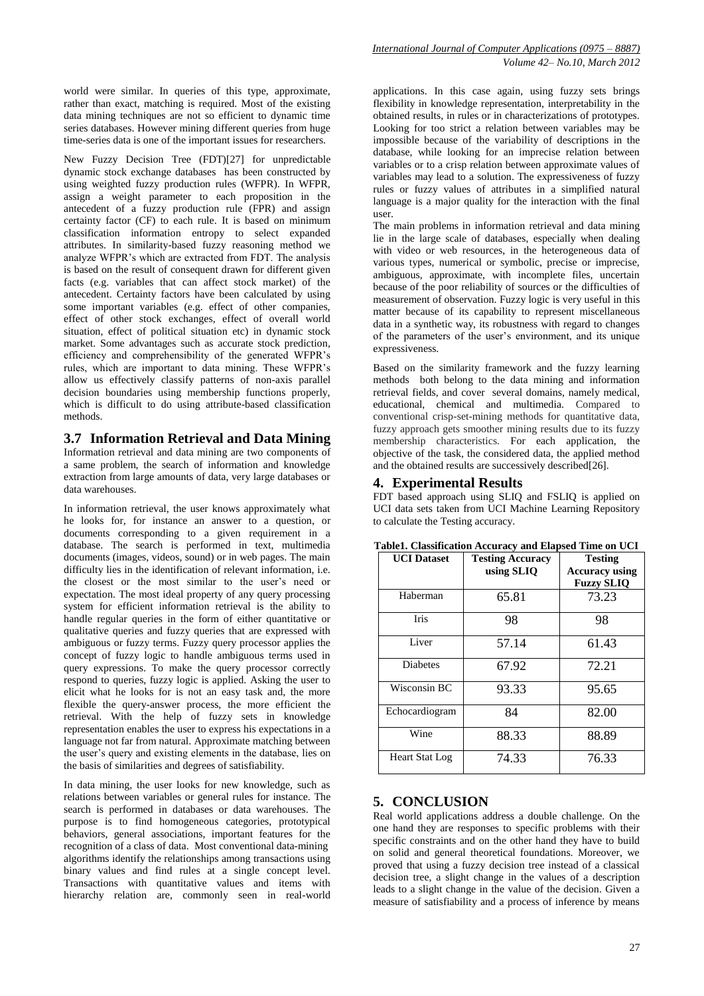world were similar. In queries of this type, approximate, rather than exact, matching is required. Most of the existing data mining techniques are not so efficient to dynamic time series databases. However mining different queries from huge time-series data is one of the important issues for researchers.

New Fuzzy Decision Tree (FDT)[27] for unpredictable dynamic stock exchange databases has been constructed by using weighted fuzzy production rules (WFPR). In WFPR, assign a weight parameter to each proposition in the antecedent of a fuzzy production rule (FPR) and assign certainty factor (CF) to each rule. It is based on minimum classification information entropy to select expanded attributes. In similarity-based fuzzy reasoning method we analyze WFPR's which are extracted from FDT. The analysis is based on the result of consequent drawn for different given facts (e.g. variables that can affect stock market) of the antecedent. Certainty factors have been calculated by using some important variables (e.g. effect of other companies, effect of other stock exchanges, effect of overall world situation, effect of political situation etc) in dynamic stock market. Some advantages such as accurate stock prediction, efficiency and comprehensibility of the generated WFPR's rules, which are important to data mining. These WFPR's allow us effectively classify patterns of non-axis parallel decision boundaries using membership functions properly, which is difficult to do using attribute-based classification methods.

#### **3.7 Information Retrieval and Data Mining**

Information retrieval and data mining are two components of a same problem, the search of information and knowledge extraction from large amounts of data, very large databases or data warehouses.

In information retrieval, the user knows approximately what he looks for, for instance an answer to a question, or documents corresponding to a given requirement in a database. The search is performed in text, multimedia documents (images, videos, sound) or in web pages. The main difficulty lies in the identification of relevant information, i.e. the closest or the most similar to the user's need or expectation. The most ideal property of any query processing system for efficient information retrieval is the ability to handle regular queries in the form of either quantitative or qualitative queries and fuzzy queries that are expressed with ambiguous or fuzzy terms. Fuzzy query processor applies the concept of fuzzy logic to handle ambiguous terms used in query expressions. To make the query processor correctly respond to queries, fuzzy logic is applied. Asking the user to elicit what he looks for is not an easy task and, the more flexible the query-answer process, the more efficient the retrieval. With the help of fuzzy sets in knowledge representation enables the user to express his expectations in a language not far from natural. Approximate matching between the user's query and existing elements in the database, lies on the basis of similarities and degrees of satisfiability.

In data mining, the user looks for new knowledge, such as relations between variables or general rules for instance. The search is performed in databases or data warehouses. The purpose is to find homogeneous categories, prototypical behaviors, general associations, important features for the recognition of a class of data. Most conventional data-mining algorithms identify the relationships among transactions using binary values and find rules at a single concept level. Transactions with quantitative values and items with hierarchy relation are, commonly seen in real-world

applications. In this case again, using fuzzy sets brings flexibility in knowledge representation, interpretability in the obtained results, in rules or in characterizations of prototypes. Looking for too strict a relation between variables may be impossible because of the variability of descriptions in the database, while looking for an imprecise relation between variables or to a crisp relation between approximate values of variables may lead to a solution. The expressiveness of fuzzy rules or fuzzy values of attributes in a simplified natural language is a major quality for the interaction with the final user.

The main problems in information retrieval and data mining lie in the large scale of databases, especially when dealing with video or web resources, in the heterogeneous data of various types, numerical or symbolic, precise or imprecise, ambiguous, approximate, with incomplete files, uncertain because of the poor reliability of sources or the difficulties of measurement of observation. Fuzzy logic is very useful in this matter because of its capability to represent miscellaneous data in a synthetic way, its robustness with regard to changes of the parameters of the user's environment, and its unique expressiveness.

Based on the similarity framework and the fuzzy learning methods both belong to the data mining and information retrieval fields, and cover several domains, namely medical, educational, chemical and multimedia. Compared to conventional crisp-set-mining methods for quantitative data, fuzzy approach gets smoother mining results due to its fuzzy membership characteristics. For each application, the objective of the task, the considered data, the applied method and the obtained results are successively described[26].

#### **4. Experimental Results**

FDT based approach using SLIQ and FSLIQ is applied on UCI data sets taken from UCI Machine Learning Repository to calculate the Testing accuracy.

| <b>UCI</b> Dataset | <b>Testing Accuracy</b><br>using SLIQ | <b>Testing</b><br><b>Accuracy using</b><br><b>Fuzzy SLIQ</b> |
|--------------------|---------------------------------------|--------------------------------------------------------------|
| Haberman           | 65.81                                 | 73.23                                                        |
| Iris               | 98                                    | 98                                                           |
| Liver              | 57.14                                 | 61.43                                                        |
| <b>Diabetes</b>    | 67.92                                 | 72.21                                                        |
| Wisconsin BC       | 93.33                                 | 95.65                                                        |
| Echocardiogram     | 84                                    | 82.00                                                        |
| Wine               | 88.33                                 | 88.89                                                        |
| Heart Stat Log     | 74.33                                 | 76.33                                                        |

**Table1. Classification Accuracy and Elapsed Time on UCI**

#### **5. CONCLUSION**

Real world applications address a double challenge. On the one hand they are responses to specific problems with their specific constraints and on the other hand they have to build on solid and general theoretical foundations. Moreover, we proved that using a fuzzy decision tree instead of a classical decision tree, a slight change in the values of a description leads to a slight change in the value of the decision. Given a measure of satisfiability and a process of inference by means